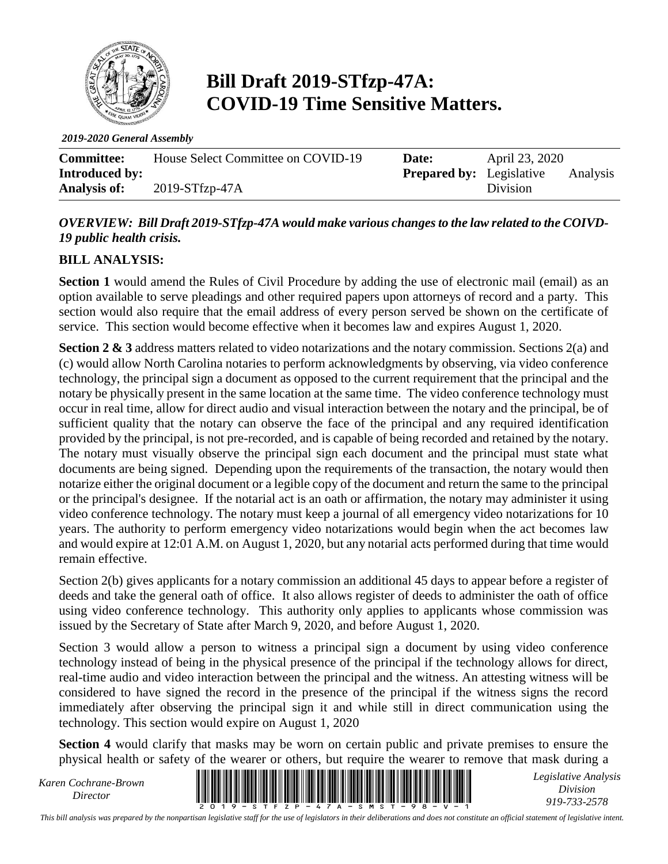

# **Bill Draft 2019-STfzp-47A: COVID-19 Time Sensitive Matters.**

*2019-2020 General Assembly*

| <b>Committee:</b>     | House Select Committee on COVID-19 | Date:                           | April 23, 2020 |          |
|-----------------------|------------------------------------|---------------------------------|----------------|----------|
| <b>Introduced by:</b> |                                    | <b>Prepared by:</b> Legislative |                | Analysis |
| <b>Analysis of:</b>   | $2019-STfzp-47A$                   |                                 | Division       |          |

#### *OVERVIEW: Bill Draft 2019-STfzp-47A would make various changes to the law related to the COIVD-19 public health crisis.*

#### **BILL ANALYSIS:**

**Section 1** would amend the Rules of Civil Procedure by adding the use of electronic mail (email) as an option available to serve pleadings and other required papers upon attorneys of record and a party. This section would also require that the email address of every person served be shown on the certificate of service. This section would become effective when it becomes law and expires August 1, 2020.

**Section 2 & 3** address matters related to video notarizations and the notary commission. Sections 2(a) and (c) would allow North Carolina notaries to perform acknowledgments by observing, via video conference technology, the principal sign a document as opposed to the current requirement that the principal and the notary be physically present in the same location at the same time. The video conference technology must occur in real time, allow for direct audio and visual interaction between the notary and the principal, be of sufficient quality that the notary can observe the face of the principal and any required identification provided by the principal, is not pre-recorded, and is capable of being recorded and retained by the notary. The notary must visually observe the principal sign each document and the principal must state what documents are being signed. Depending upon the requirements of the transaction, the notary would then notarize either the original document or a legible copy of the document and return the same to the principal or the principal's designee. If the notarial act is an oath or affirmation, the notary may administer it using video conference technology. The notary must keep a journal of all emergency video notarizations for 10 years. The authority to perform emergency video notarizations would begin when the act becomes law and would expire at 12:01 A.M. on August 1, 2020, but any notarial acts performed during that time would remain effective.

Section 2(b) gives applicants for a notary commission an additional 45 days to appear before a register of deeds and take the general oath of office. It also allows register of deeds to administer the oath of office using video conference technology. This authority only applies to applicants whose commission was issued by the Secretary of State after March 9, 2020, and before August 1, 2020.

Section 3 would allow a person to witness a principal sign a document by using video conference technology instead of being in the physical presence of the principal if the technology allows for direct, real-time audio and video interaction between the principal and the witness. An attesting witness will be considered to have signed the record in the presence of the principal if the witness signs the record immediately after observing the principal sign it and while still in direct communication using the technology. This section would expire on August 1, 2020

**Section 4** would clarify that masks may be worn on certain public and private premises to ensure the physical health or safety of the wearer or others, but require the wearer to remove that mask during a

*Karen Cochrane-Brown*



*Legislative Analysis Division 919-733-2578*

*This bill analysis was prepared by the nonpartisan legislative staff for the use of legislators in their deliberations and does not constitute an official statement of legislative intent.*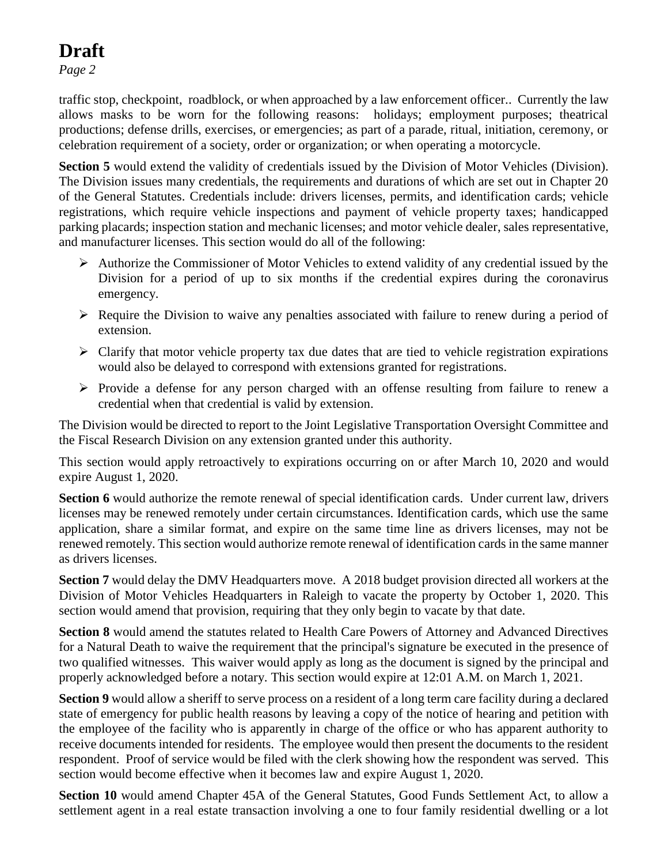*Page 2*

traffic stop, checkpoint, roadblock, or when approached by a law enforcement officer.. Currently the law allows masks to be worn for the following reasons: holidays; employment purposes; theatrical productions; defense drills, exercises, or emergencies; as part of a parade, ritual, initiation, ceremony, or celebration requirement of a society, order or organization; or when operating a motorcycle.

**Section 5** would extend the validity of credentials issued by the Division of Motor Vehicles (Division). The Division issues many credentials, the requirements and durations of which are set out in Chapter 20 of the General Statutes. Credentials include: drivers licenses, permits, and identification cards; vehicle registrations, which require vehicle inspections and payment of vehicle property taxes; handicapped parking placards; inspection station and mechanic licenses; and motor vehicle dealer, sales representative, and manufacturer licenses. This section would do all of the following:

- ➢ Authorize the Commissioner of Motor Vehicles to extend validity of any credential issued by the Division for a period of up to six months if the credential expires during the coronavirus emergency.
- ➢ Require the Division to waive any penalties associated with failure to renew during a period of extension.
- $\triangleright$  Clarify that motor vehicle property tax due dates that are tied to vehicle registration expirations would also be delayed to correspond with extensions granted for registrations.
- $\triangleright$  Provide a defense for any person charged with an offense resulting from failure to renew a credential when that credential is valid by extension.

The Division would be directed to report to the Joint Legislative Transportation Oversight Committee and the Fiscal Research Division on any extension granted under this authority.

This section would apply retroactively to expirations occurring on or after March 10, 2020 and would expire August 1, 2020.

Section 6 would authorize the remote renewal of special identification cards. Under current law, drivers licenses may be renewed remotely under certain circumstances. Identification cards, which use the same application, share a similar format, and expire on the same time line as drivers licenses, may not be renewed remotely. This section would authorize remote renewal of identification cards in the same manner as drivers licenses.

**Section 7** would delay the DMV Headquarters move. A 2018 budget provision directed all workers at the Division of Motor Vehicles Headquarters in Raleigh to vacate the property by October 1, 2020. This section would amend that provision, requiring that they only begin to vacate by that date.

**Section 8** would amend the statutes related to Health Care Powers of Attorney and Advanced Directives for a Natural Death to waive the requirement that the principal's signature be executed in the presence of two qualified witnesses. This waiver would apply as long as the document is signed by the principal and properly acknowledged before a notary. This section would expire at 12:01 A.M. on March 1, 2021.

**Section 9** would allow a sheriff to serve process on a resident of a long term care facility during a declared state of emergency for public health reasons by leaving a copy of the notice of hearing and petition with the employee of the facility who is apparently in charge of the office or who has apparent authority to receive documents intended for residents. The employee would then present the documents to the resident respondent. Proof of service would be filed with the clerk showing how the respondent was served. This section would become effective when it becomes law and expire August 1, 2020.

**Section 10** would amend Chapter 45A of the General Statutes, Good Funds Settlement Act, to allow a settlement agent in a real estate transaction involving a one to four family residential dwelling or a lot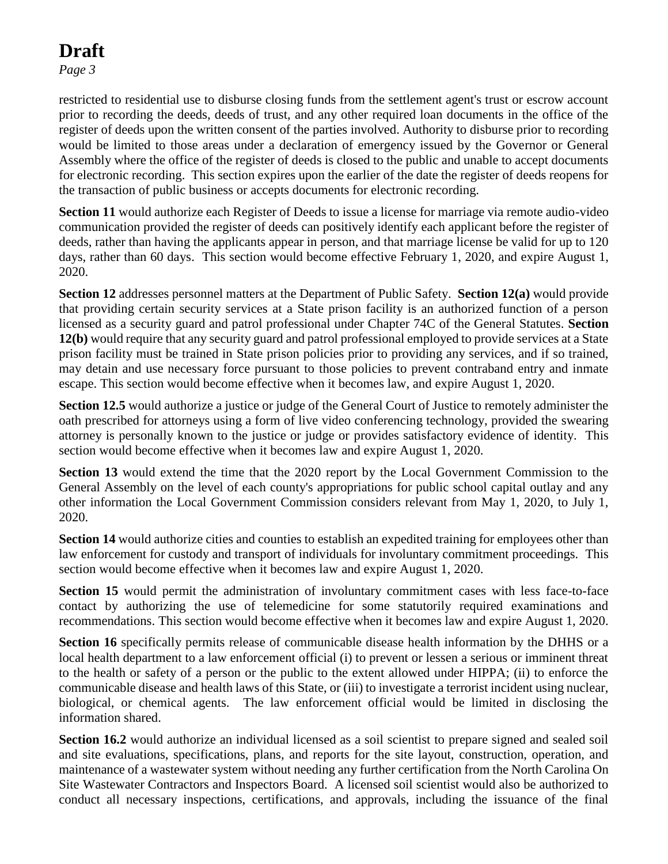*Page 3*

restricted to residential use to disburse closing funds from the settlement agent's trust or escrow account prior to recording the deeds, deeds of trust, and any other required loan documents in the office of the register of deeds upon the written consent of the parties involved. Authority to disburse prior to recording would be limited to those areas under a declaration of emergency issued by the Governor or General Assembly where the office of the register of deeds is closed to the public and unable to accept documents for electronic recording. This section expires upon the earlier of the date the register of deeds reopens for the transaction of public business or accepts documents for electronic recording.

**Section 11** would authorize each Register of Deeds to issue a license for marriage via remote audio-video communication provided the register of deeds can positively identify each applicant before the register of deeds, rather than having the applicants appear in person, and that marriage license be valid for up to 120 days, rather than 60 days. This section would become effective February 1, 2020, and expire August 1, 2020.

**Section 12** addresses personnel matters at the Department of Public Safety. **Section 12(a)** would provide that providing certain security services at a State prison facility is an authorized function of a person licensed as a security guard and patrol professional under Chapter 74C of the General Statutes. **Section 12(b)** would require that any security guard and patrol professional employed to provide services at a State prison facility must be trained in State prison policies prior to providing any services, and if so trained, may detain and use necessary force pursuant to those policies to prevent contraband entry and inmate escape. This section would become effective when it becomes law, and expire August 1, 2020.

**Section 12.5** would authorize a justice or judge of the General Court of Justice to remotely administer the oath prescribed for attorneys using a form of live video conferencing technology, provided the swearing attorney is personally known to the justice or judge or provides satisfactory evidence of identity. This section would become effective when it becomes law and expire August 1, 2020.

**Section 13** would extend the time that the 2020 report by the Local Government Commission to the General Assembly on the level of each county's appropriations for public school capital outlay and any other information the Local Government Commission considers relevant from May 1, 2020, to July 1, 2020.

**Section 14** would authorize cities and counties to establish an expedited training for employees other than law enforcement for custody and transport of individuals for involuntary commitment proceedings. This section would become effective when it becomes law and expire August 1, 2020.

**Section 15** would permit the administration of involuntary commitment cases with less face-to-face contact by authorizing the use of telemedicine for some statutorily required examinations and recommendations. This section would become effective when it becomes law and expire August 1, 2020.

**Section 16** specifically permits release of communicable disease health information by the DHHS or a local health department to a law enforcement official (i) to prevent or lessen a serious or imminent threat to the health or safety of a person or the public to the extent allowed under HIPPA; (ii) to enforce the communicable disease and health laws of this State, or (iii) to investigate a terrorist incident using nuclear, biological, or chemical agents. The law enforcement official would be limited in disclosing the information shared.

**Section 16.2** would authorize an individual licensed as a soil scientist to prepare signed and sealed soil and site evaluations, specifications, plans, and reports for the site layout, construction, operation, and maintenance of a wastewater system without needing any further certification from the North Carolina On Site Wastewater Contractors and Inspectors Board. A licensed soil scientist would also be authorized to conduct all necessary inspections, certifications, and approvals, including the issuance of the final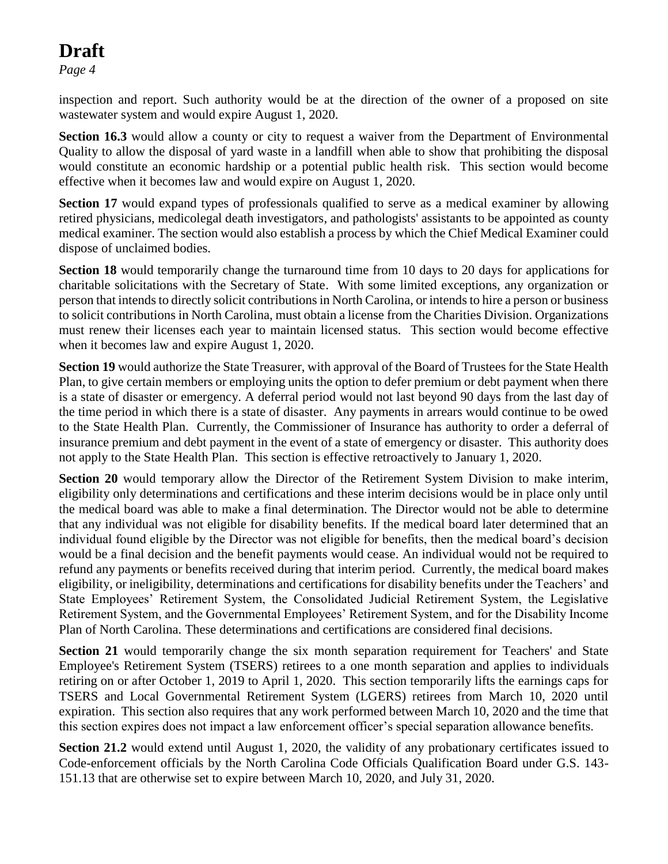*Page 4*

inspection and report. Such authority would be at the direction of the owner of a proposed on site wastewater system and would expire August 1, 2020.

**Section 16.3** would allow a county or city to request a waiver from the Department of Environmental Quality to allow the disposal of yard waste in a landfill when able to show that prohibiting the disposal would constitute an economic hardship or a potential public health risk. This section would become effective when it becomes law and would expire on August 1, 2020.

**Section 17** would expand types of professionals qualified to serve as a medical examiner by allowing retired physicians, medicolegal death investigators, and pathologists' assistants to be appointed as county medical examiner. The section would also establish a process by which the Chief Medical Examiner could dispose of unclaimed bodies.

**Section 18** would temporarily change the turnaround time from 10 days to 20 days for applications for charitable solicitations with the Secretary of State. With some limited exceptions, any organization or person that intends to directly solicit contributions in North Carolina, or intends to hire a person or business to solicit contributions in North Carolina, must obtain a license from the Charities Division. Organizations must renew their licenses each year to maintain licensed status. This section would become effective when it becomes law and expire August 1, 2020.

**Section 19** would authorize the State Treasurer, with approval of the Board of Trustees for the State Health Plan, to give certain members or employing units the option to defer premium or debt payment when there is a state of disaster or emergency. A deferral period would not last beyond 90 days from the last day of the time period in which there is a state of disaster. Any payments in arrears would continue to be owed to the State Health Plan. Currently, the Commissioner of Insurance has authority to order a deferral of insurance premium and debt payment in the event of a state of emergency or disaster. This authority does not apply to the State Health Plan. This section is effective retroactively to January 1, 2020.

**Section 20** would temporary allow the Director of the Retirement System Division to make interim, eligibility only determinations and certifications and these interim decisions would be in place only until the medical board was able to make a final determination. The Director would not be able to determine that any individual was not eligible for disability benefits. If the medical board later determined that an individual found eligible by the Director was not eligible for benefits, then the medical board's decision would be a final decision and the benefit payments would cease. An individual would not be required to refund any payments or benefits received during that interim period. Currently, the medical board makes eligibility, or ineligibility, determinations and certifications for disability benefits under the Teachers' and State Employees' Retirement System, the Consolidated Judicial Retirement System, the Legislative Retirement System, and the Governmental Employees' Retirement System, and for the Disability Income Plan of North Carolina. These determinations and certifications are considered final decisions.

**Section 21** would temporarily change the six month separation requirement for Teachers' and State Employee's Retirement System (TSERS) retirees to a one month separation and applies to individuals retiring on or after October 1, 2019 to April 1, 2020. This section temporarily lifts the earnings caps for TSERS and Local Governmental Retirement System (LGERS) retirees from March 10, 2020 until expiration. This section also requires that any work performed between March 10, 2020 and the time that this section expires does not impact a law enforcement officer's special separation allowance benefits.

**Section 21.2** would extend until August 1, 2020, the validity of any probationary certificates issued to Code-enforcement officials by the North Carolina Code Officials Qualification Board under G.S. 143- 151.13 that are otherwise set to expire between March 10, 2020, and July 31, 2020.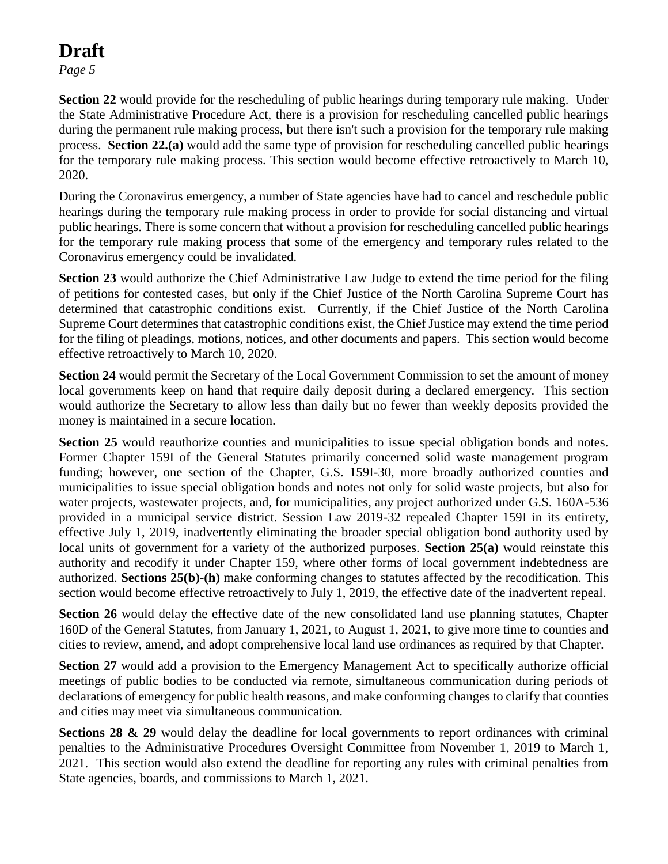*Page 5*

**Section 22** would provide for the rescheduling of public hearings during temporary rule making. Under the State Administrative Procedure Act, there is a provision for rescheduling cancelled public hearings during the permanent rule making process, but there isn't such a provision for the temporary rule making process. **Section 22.(a)** would add the same type of provision for rescheduling cancelled public hearings for the temporary rule making process. This section would become effective retroactively to March 10, 2020.

During the Coronavirus emergency, a number of State agencies have had to cancel and reschedule public hearings during the temporary rule making process in order to provide for social distancing and virtual public hearings. There is some concern that without a provision for rescheduling cancelled public hearings for the temporary rule making process that some of the emergency and temporary rules related to the Coronavirus emergency could be invalidated.

**Section 23** would authorize the Chief Administrative Law Judge to extend the time period for the filing of petitions for contested cases, but only if the Chief Justice of the North Carolina Supreme Court has determined that catastrophic conditions exist. Currently, if the Chief Justice of the North Carolina Supreme Court determines that catastrophic conditions exist, the Chief Justice may extend the time period for the filing of pleadings, motions, notices, and other documents and papers. This section would become effective retroactively to March 10, 2020.

**Section 24** would permit the Secretary of the Local Government Commission to set the amount of money local governments keep on hand that require daily deposit during a declared emergency. This section would authorize the Secretary to allow less than daily but no fewer than weekly deposits provided the money is maintained in a secure location.

**Section** 25 would reauthorize counties and municipalities to issue special obligation bonds and notes. Former Chapter 159I of the General Statutes primarily concerned solid waste management program funding; however, one section of the Chapter, G.S. 159I-30, more broadly authorized counties and municipalities to issue special obligation bonds and notes not only for solid waste projects, but also for water projects, wastewater projects, and, for municipalities, any project authorized under G.S. 160A-536 provided in a municipal service district. Session Law 2019-32 repealed Chapter 159I in its entirety, effective July 1, 2019, inadvertently eliminating the broader special obligation bond authority used by local units of government for a variety of the authorized purposes. **Section 25(a)** would reinstate this authority and recodify it under Chapter 159, where other forms of local government indebtedness are authorized. **Sections 25(b)-(h)** make conforming changes to statutes affected by the recodification. This section would become effective retroactively to July 1, 2019, the effective date of the inadvertent repeal.

**Section 26** would delay the effective date of the new consolidated land use planning statutes, Chapter 160D of the General Statutes, from January 1, 2021, to August 1, 2021, to give more time to counties and cities to review, amend, and adopt comprehensive local land use ordinances as required by that Chapter.

**Section 27** would add a provision to the Emergency Management Act to specifically authorize official meetings of public bodies to be conducted via remote, simultaneous communication during periods of declarations of emergency for public health reasons, and make conforming changes to clarify that counties and cities may meet via simultaneous communication.

**Sections 28 & 29** would delay the deadline for local governments to report ordinances with criminal penalties to the Administrative Procedures Oversight Committee from November 1, 2019 to March 1, 2021. This section would also extend the deadline for reporting any rules with criminal penalties from State agencies, boards, and commissions to March 1, 2021.